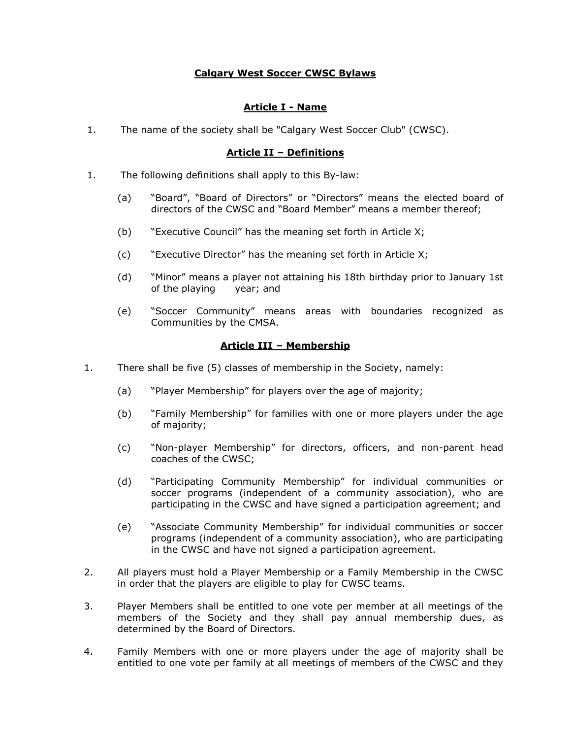## **Calgary West Soccer CWSC Bylaws**

## **Article I - Name**

1. The name of the society shall be "Calgary West Soccer Club" (CWSC).

### **Article II – Definitions**

- 1. The following definitions shall apply to this By-law:
	- (a) "Board", "Board of Directors" or "Directors" means the elected board of directors of the CWSC and "Board Member" means a member thereof;
	- (b) "Executive Council" has the meaning set forth in Article X;
	- (c) "Executive Director" has the meaning set forth in Article X;
	- (d) "Minor" means a player not attaining his 18th birthday prior to January 1st of the playing year; and
	- (e) "Soccer Community" means areas with boundaries recognized as Communities by the CMSA.

### **Article III – Membership**

- 1. There shall be five (5) classes of membership in the Society, namely:
	- (a) "Player Membership" for players over the age of majority;
	- (b) "Family Membership" for families with one or more players under the age of majority;
	- (c) "Non-player Membership" for directors, officers, and non-parent head coaches of the CWSC;
	- (d) "Participating Community Membership" for individual communities or soccer programs (independent of a community association), who are participating in the CWSC and have signed a participation agreement; and
	- (e) "Associate Community Membership" for individual communities or soccer programs (independent of a community association), who are participating in the CWSC and have not signed a participation agreement.
- 2. All players must hold a Player Membership or a Family Membership in the CWSC in order that the players are eligible to play for CWSC teams.
- 3. Player Members shall be entitled to one vote per member at all meetings of the members of the Society and they shall pay annual membership dues, as determined by the Board of Directors.
- 4. Family Members with one or more players under the age of majority shall be entitled to one vote per family at all meetings of members of the CWSC and they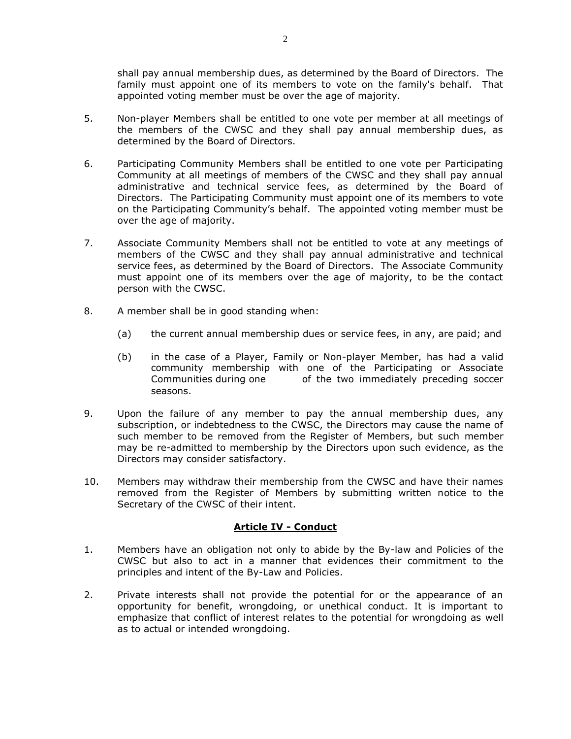shall pay annual membership dues, as determined by the Board of Directors. The family must appoint one of its members to vote on the family's behalf. That appointed voting member must be over the age of majority.

- 5. Non-player Members shall be entitled to one vote per member at all meetings of the members of the CWSC and they shall pay annual membership dues, as determined by the Board of Directors.
- 6. Participating Community Members shall be entitled to one vote per Participating Community at all meetings of members of the CWSC and they shall pay annual administrative and technical service fees, as determined by the Board of Directors. The Participating Community must appoint one of its members to vote on the Participating Community's behalf. The appointed voting member must be over the age of majority.
- 7. Associate Community Members shall not be entitled to vote at any meetings of members of the CWSC and they shall pay annual administrative and technical service fees, as determined by the Board of Directors. The Associate Community must appoint one of its members over the age of majority, to be the contact person with the CWSC.
- 8. A member shall be in good standing when:
	- (a) the current annual membership dues or service fees, in any, are paid; and
	- (b) in the case of a Player, Family or Non-player Member, has had a valid community membership with one of the Participating or Associate Communities during one of the two immediately preceding soccer seasons.
- 9. Upon the failure of any member to pay the annual membership dues, any subscription, or indebtedness to the CWSC, the Directors may cause the name of such member to be removed from the Register of Members, but such member may be re-admitted to membership by the Directors upon such evidence, as the Directors may consider satisfactory.
- 10. Members may withdraw their membership from the CWSC and have their names removed from the Register of Members by submitting written notice to the Secretary of the CWSC of their intent.

### **Article IV - Conduct**

- 1. Members have an obligation not only to abide by the By-law and Policies of the CWSC but also to act in a manner that evidences their commitment to the principles and intent of the By-Law and Policies.
- 2. Private interests shall not provide the potential for or the appearance of an opportunity for benefit, wrongdoing, or unethical conduct. It is important to emphasize that conflict of interest relates to the potential for wrongdoing as well as to actual or intended wrongdoing.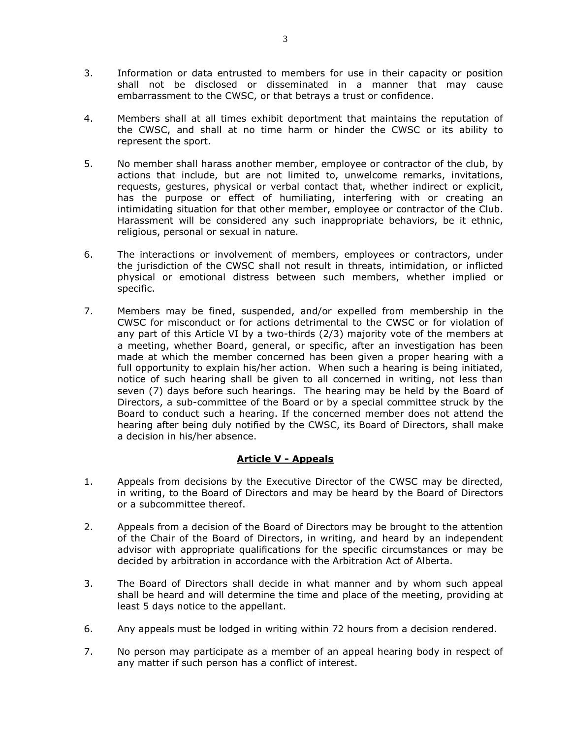- 3. Information or data entrusted to members for use in their capacity or position shall not be disclosed or disseminated in a manner that may cause embarrassment to the CWSC, or that betrays a trust or confidence.
- 4. Members shall at all times exhibit deportment that maintains the reputation of the CWSC, and shall at no time harm or hinder the CWSC or its ability to represent the sport.
- 5. No member shall harass another member, employee or contractor of the club, by actions that include, but are not limited to, unwelcome remarks, invitations, requests, gestures, physical or verbal contact that, whether indirect or explicit, has the purpose or effect of humiliating, interfering with or creating an intimidating situation for that other member, employee or contractor of the Club. Harassment will be considered any such inappropriate behaviors, be it ethnic, religious, personal or sexual in nature.
- 6. The interactions or involvement of members, employees or contractors, under the jurisdiction of the CWSC shall not result in threats, intimidation, or inflicted physical or emotional distress between such members, whether implied or specific.
- 7. Members may be fined, suspended, and/or expelled from membership in the CWSC for misconduct or for actions detrimental to the CWSC or for violation of any part of this Article VI by a two-thirds (2/3) majority vote of the members at a meeting, whether Board, general, or specific, after an investigation has been made at which the member concerned has been given a proper hearing with a full opportunity to explain his/her action. When such a hearing is being initiated, notice of such hearing shall be given to all concerned in writing, not less than seven (7) days before such hearings. The hearing may be held by the Board of Directors, a sub-committee of the Board or by a special committee struck by the Board to conduct such a hearing. If the concerned member does not attend the hearing after being duly notified by the CWSC, its Board of Directors, shall make a decision in his/her absence.

### **Article V - Appeals**

- 1. Appeals from decisions by the Executive Director of the CWSC may be directed, in writing, to the Board of Directors and may be heard by the Board of Directors or a subcommittee thereof.
- 2. Appeals from a decision of the Board of Directors may be brought to the attention of the Chair of the Board of Directors, in writing, and heard by an independent advisor with appropriate qualifications for the specific circumstances or may be decided by arbitration in accordance with the Arbitration Act of Alberta.
- 3. The Board of Directors shall decide in what manner and by whom such appeal shall be heard and will determine the time and place of the meeting, providing at least 5 days notice to the appellant.
- 6. Any appeals must be lodged in writing within 72 hours from a decision rendered.
- 7. No person may participate as a member of an appeal hearing body in respect of any matter if such person has a conflict of interest.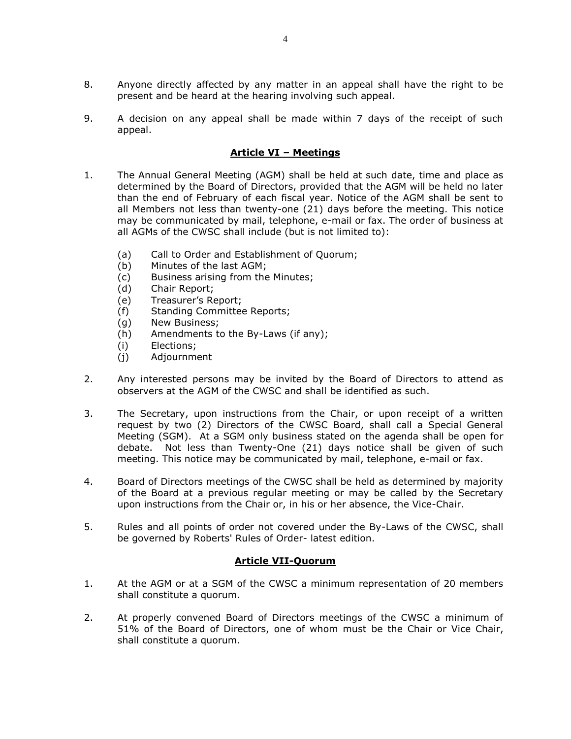- 8. Anyone directly affected by any matter in an appeal shall have the right to be present and be heard at the hearing involving such appeal.
- 9. A decision on any appeal shall be made within 7 days of the receipt of such appeal.

### **Article VI – Meetings**

- 1. The Annual General Meeting (AGM) shall be held at such date, time and place as determined by the Board of Directors, provided that the AGM will be held no later than the end of February of each fiscal year. Notice of the AGM shall be sent to all Members not less than twenty-one (21) days before the meeting. This notice may be communicated by mail, telephone, e-mail or fax. The order of business at all AGMs of the CWSC shall include (but is not limited to):
	- (a) Call to Order and Establishment of Quorum;
	- (b) Minutes of the last AGM;
	- (c) Business arising from the Minutes;
	- (d) Chair Report;
	- (e) Treasurer's Report;
	- (f) Standing Committee Reports;
	- (g) New Business;
	- (h) Amendments to the By-Laws (if any);
	- (i) Elections;
	- (j) Adjournment
- 2. Any interested persons may be invited by the Board of Directors to attend as observers at the AGM of the CWSC and shall be identified as such.
- 3. The Secretary, upon instructions from the Chair, or upon receipt of a written request by two (2) Directors of the CWSC Board, shall call a Special General Meeting (SGM). At a SGM only business stated on the agenda shall be open for debate. Not less than Twenty-One (21) days notice shall be given of such meeting. This notice may be communicated by mail, telephone, e-mail or fax.
- 4. Board of Directors meetings of the CWSC shall be held as determined by majority of the Board at a previous regular meeting or may be called by the Secretary upon instructions from the Chair or, in his or her absence, the Vice-Chair.
- 5. Rules and all points of order not covered under the By-Laws of the CWSC, shall be governed by Roberts' Rules of Order- latest edition.

### **Article VII-Quorum**

- 1. At the AGM or at a SGM of the CWSC a minimum representation of 20 members shall constitute a quorum.
- 2. At properly convened Board of Directors meetings of the CWSC a minimum of 51% of the Board of Directors, one of whom must be the Chair or Vice Chair, shall constitute a quorum.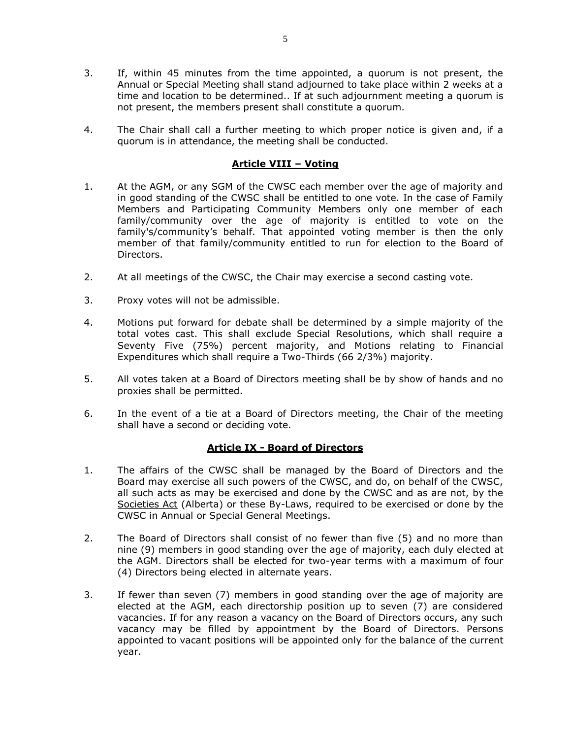- 3. If, within 45 minutes from the time appointed, a quorum is not present, the Annual or Special Meeting shall stand adjourned to take place within 2 weeks at a time and location to be determined.. If at such adjournment meeting a quorum is not present, the members present shall constitute a quorum.
- 4. The Chair shall call a further meeting to which proper notice is given and, if a quorum is in attendance, the meeting shall be conducted.

## **Article VIII – Voting**

- 1. At the AGM, or any SGM of the CWSC each member over the age of majority and in good standing of the CWSC shall be entitled to one vote. In the case of Family Members and Participating Community Members only one member of each family/community over the age of majority is entitled to vote on the family's/community's behalf. That appointed voting member is then the only member of that family/community entitled to run for election to the Board of Directors.
- 2. At all meetings of the CWSC, the Chair may exercise a second casting vote.
- 3. Proxy votes will not be admissible.
- 4. Motions put forward for debate shall be determined by a simple majority of the total votes cast. This shall exclude Special Resolutions, which shall require a Seventy Five (75%) percent majority, and Motions relating to Financial Expenditures which shall require a Two-Thirds (66 2/3%) majority.
- 5. All votes taken at a Board of Directors meeting shall be by show of hands and no proxies shall be permitted.
- 6. In the event of a tie at a Board of Directors meeting, the Chair of the meeting shall have a second or deciding vote.

### **Article IX - Board of Directors**

- 1. The affairs of the CWSC shall be managed by the Board of Directors and the Board may exercise all such powers of the CWSC, and do, on behalf of the CWSC, all such acts as may be exercised and done by the CWSC and as are not, by the Societies Act (Alberta) or these By-Laws, required to be exercised or done by the CWSC in Annual or Special General Meetings.
- 2. The Board of Directors shall consist of no fewer than five (5) and no more than nine (9) members in good standing over the age of majority, each duly elected at the AGM. Directors shall be elected for two-year terms with a maximum of four (4) Directors being elected in alternate years.
- 3. If fewer than seven (7) members in good standing over the age of majority are elected at the AGM, each directorship position up to seven (7) are considered vacancies. If for any reason a vacancy on the Board of Directors occurs, any such vacancy may be filled by appointment by the Board of Directors. Persons appointed to vacant positions will be appointed only for the balance of the current year.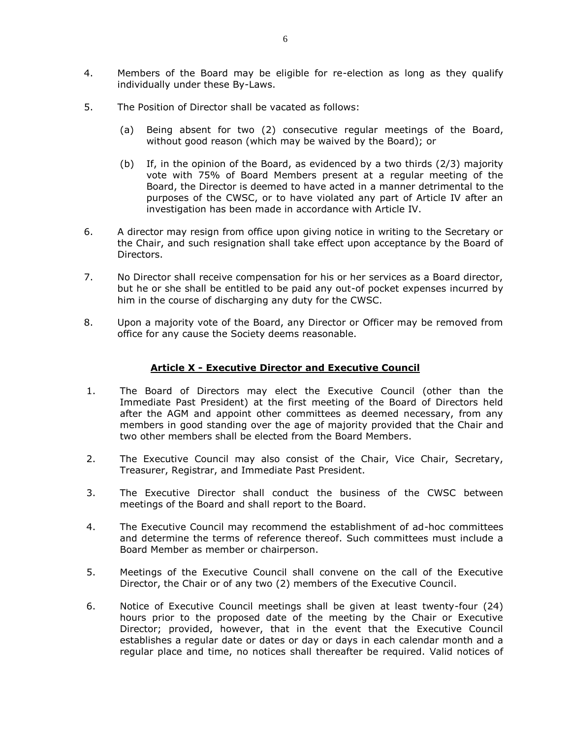- 4. Members of the Board may be eligible for re-election as long as they qualify individually under these By-Laws.
- 5. The Position of Director shall be vacated as follows:
	- (a) Being absent for two (2) consecutive regular meetings of the Board, without good reason (which may be waived by the Board); or
	- (b) If, in the opinion of the Board, as evidenced by a two thirds (2/3) majority vote with 75% of Board Members present at a regular meeting of the Board, the Director is deemed to have acted in a manner detrimental to the purposes of the CWSC, or to have violated any part of Article IV after an investigation has been made in accordance with Article IV.
- 6. A director may resign from office upon giving notice in writing to the Secretary or the Chair, and such resignation shall take effect upon acceptance by the Board of Directors.
- 7. No Director shall receive compensation for his or her services as a Board director, but he or she shall be entitled to be paid any out-of pocket expenses incurred by him in the course of discharging any duty for the CWSC.
- 8. Upon a majority vote of the Board, any Director or Officer may be removed from office for any cause the Society deems reasonable.

### **Article X - Executive Director and Executive Council**

- 1. The Board of Directors may elect the Executive Council (other than the Immediate Past President) at the first meeting of the Board of Directors held after the AGM and appoint other committees as deemed necessary, from any members in good standing over the age of majority provided that the Chair and two other members shall be elected from the Board Members.
- 2. The Executive Council may also consist of the Chair, Vice Chair, Secretary, Treasurer, Registrar, and Immediate Past President.
- 3. The Executive Director shall conduct the business of the CWSC between meetings of the Board and shall report to the Board.
- 4. The Executive Council may recommend the establishment of ad-hoc committees and determine the terms of reference thereof. Such committees must include a Board Member as member or chairperson.
- 5. Meetings of the Executive Council shall convene on the call of the Executive Director, the Chair or of any two (2) members of the Executive Council.
- 6. Notice of Executive Council meetings shall be given at least twenty-four (24) hours prior to the proposed date of the meeting by the Chair or Executive Director; provided, however, that in the event that the Executive Council establishes a regular date or dates or day or days in each calendar month and a regular place and time, no notices shall thereafter be required. Valid notices of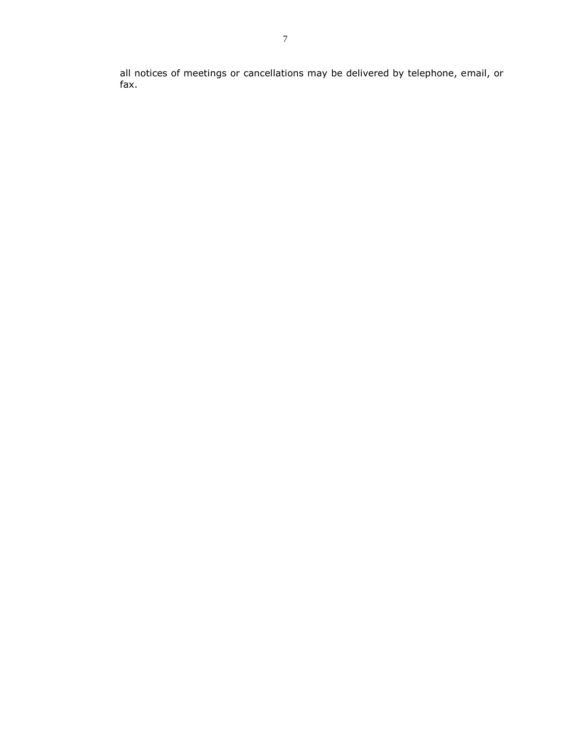all notices of meetings or cancellations may be delivered by telephone, email, or fax.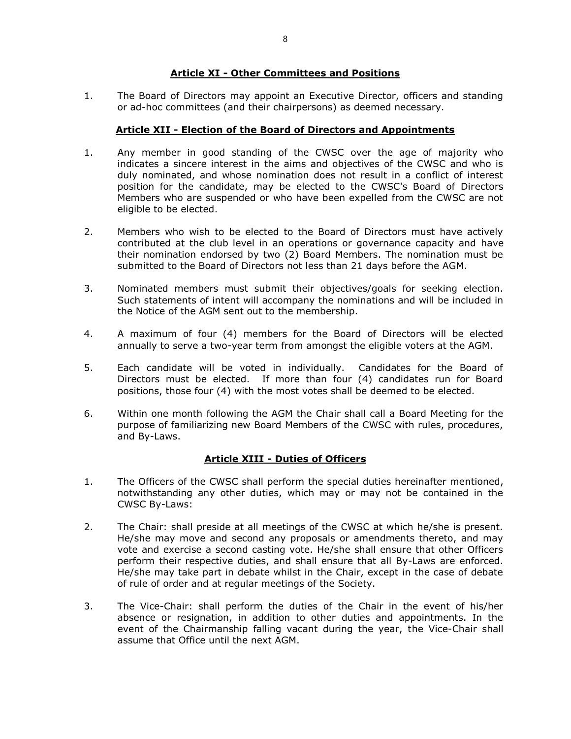### **Article XI - Other Committees and Positions**

1. The Board of Directors may appoint an Executive Director, officers and standing or ad-hoc committees (and their chairpersons) as deemed necessary.

## **Article XII - Election of the Board of Directors and Appointments**

- 1. Any member in good standing of the CWSC over the age of majority who indicates a sincere interest in the aims and objectives of the CWSC and who is duly nominated, and whose nomination does not result in a conflict of interest position for the candidate, may be elected to the CWSC's Board of Directors Members who are suspended or who have been expelled from the CWSC are not eligible to be elected.
- 2. Members who wish to be elected to the Board of Directors must have actively contributed at the club level in an operations or governance capacity and have their nomination endorsed by two (2) Board Members. The nomination must be submitted to the Board of Directors not less than 21 days before the AGM.
- 3. Nominated members must submit their objectives/goals for seeking election. Such statements of intent will accompany the nominations and will be included in the Notice of the AGM sent out to the membership.
- 4. A maximum of four (4) members for the Board of Directors will be elected annually to serve a two-year term from amongst the eligible voters at the AGM.
- 5. Each candidate will be voted in individually. Candidates for the Board of Directors must be elected. If more than four (4) candidates run for Board positions, those four (4) with the most votes shall be deemed to be elected.
- 6. Within one month following the AGM the Chair shall call a Board Meeting for the purpose of familiarizing new Board Members of the CWSC with rules, procedures, and By-Laws.

# **Article XIII - Duties of Officers**

- 1. The Officers of the CWSC shall perform the special duties hereinafter mentioned, notwithstanding any other duties, which may or may not be contained in the CWSC By-Laws:
- 2. The Chair: shall preside at all meetings of the CWSC at which he/she is present. He/she may move and second any proposals or amendments thereto, and may vote and exercise a second casting vote. He/she shall ensure that other Officers perform their respective duties, and shall ensure that all By-Laws are enforced. He/she may take part in debate whilst in the Chair, except in the case of debate of rule of order and at regular meetings of the Society.
- 3. The Vice-Chair: shall perform the duties of the Chair in the event of his/her absence or resignation, in addition to other duties and appointments. In the event of the Chairmanship falling vacant during the year, the Vice-Chair shall assume that Office until the next AGM.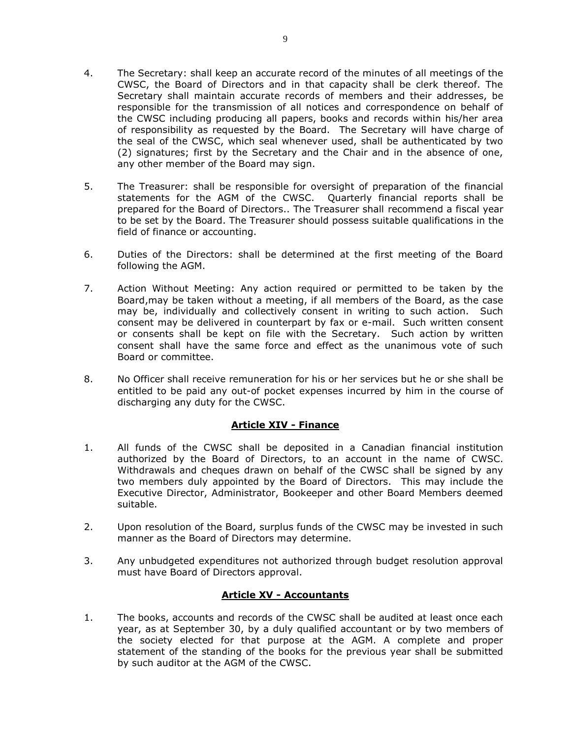- 4. The Secretary: shall keep an accurate record of the minutes of all meetings of the CWSC, the Board of Directors and in that capacity shall be clerk thereof. The Secretary shall maintain accurate records of members and their addresses, be responsible for the transmission of all notices and correspondence on behalf of the CWSC including producing all papers, books and records within his/her area of responsibility as requested by the Board. The Secretary will have charge of the seal of the CWSC, which seal whenever used, shall be authenticated by two (2) signatures; first by the Secretary and the Chair and in the absence of one, any other member of the Board may sign.
- 5. The Treasurer: shall be responsible for oversight of preparation of the financial statements for the AGM of the CWSC. Quarterly financial reports shall be prepared for the Board of Directors.. The Treasurer shall recommend a fiscal year to be set by the Board. The Treasurer should possess suitable qualifications in the field of finance or accounting.
- 6. Duties of the Directors: shall be determined at the first meeting of the Board following the AGM.
- 7. Action Without Meeting: Any action required or permitted to be taken by the Board,may be taken without a meeting, if all members of the Board, as the case may be, individually and collectively consent in writing to such action. Such consent may be delivered in counterpart by fax or e-mail. Such written consent or consents shall be kept on file with the Secretary. Such action by written consent shall have the same force and effect as the unanimous vote of such Board or committee.
- 8. No Officer shall receive remuneration for his or her services but he or she shall be entitled to be paid any out-of pocket expenses incurred by him in the course of discharging any duty for the CWSC.

### **Article XIV - Finance**

- 1. All funds of the CWSC shall be deposited in a Canadian financial institution authorized by the Board of Directors, to an account in the name of CWSC. Withdrawals and cheques drawn on behalf of the CWSC shall be signed by any two members duly appointed by the Board of Directors. This may include the Executive Director, Administrator, Bookeeper and other Board Members deemed suitable.
- 2. Upon resolution of the Board, surplus funds of the CWSC may be invested in such manner as the Board of Directors may determine.
- 3. Any unbudgeted expenditures not authorized through budget resolution approval must have Board of Directors approval.

# **Article XV - Accountants**

1. The books, accounts and records of the CWSC shall be audited at least once each year, as at September 30, by a duly qualified accountant or by two members of the society elected for that purpose at the AGM. A complete and proper statement of the standing of the books for the previous year shall be submitted by such auditor at the AGM of the CWSC.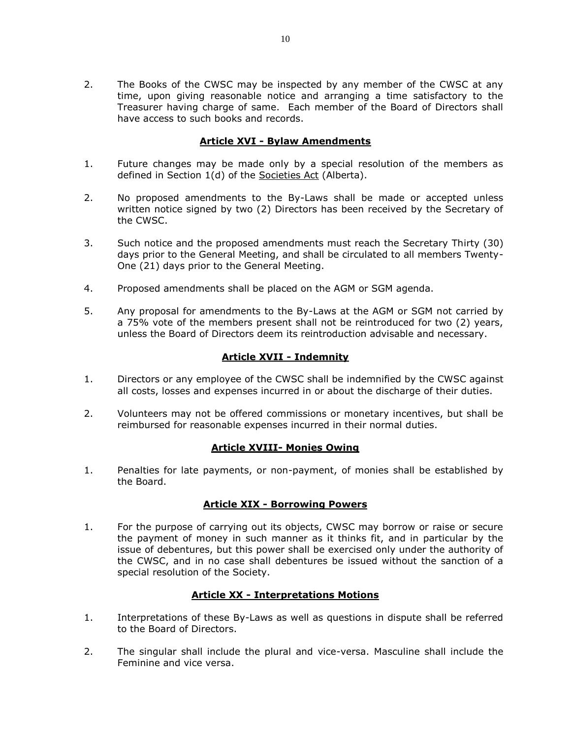2. The Books of the CWSC may be inspected by any member of the CWSC at any time, upon giving reasonable notice and arranging a time satisfactory to the Treasurer having charge of same. Each member of the Board of Directors shall have access to such books and records.

# **Article XVI - Bylaw Amendments**

- 1. Future changes may be made only by a special resolution of the members as defined in Section 1(d) of the Societies Act (Alberta).
- 2. No proposed amendments to the By-Laws shall be made or accepted unless written notice signed by two (2) Directors has been received by the Secretary of the CWSC.
- 3. Such notice and the proposed amendments must reach the Secretary Thirty (30) days prior to the General Meeting, and shall be circulated to all members Twenty-One (21) days prior to the General Meeting.
- 4. Proposed amendments shall be placed on the AGM or SGM agenda.
- 5. Any proposal for amendments to the By-Laws at the AGM or SGM not carried by a 75% vote of the members present shall not be reintroduced for two (2) years, unless the Board of Directors deem its reintroduction advisable and necessary.

## **Article XVII - Indemnity**

- 1. Directors or any employee of the CWSC shall be indemnified by the CWSC against all costs, losses and expenses incurred in or about the discharge of their duties.
- 2. Volunteers may not be offered commissions or monetary incentives, but shall be reimbursed for reasonable expenses incurred in their normal duties.

### **Article XVIII- Monies Owing**

1. Penalties for late payments, or non-payment, of monies shall be established by the Board.

### **Article XIX - Borrowing Powers**

1. For the purpose of carrying out its objects, CWSC may borrow or raise or secure the payment of money in such manner as it thinks fit, and in particular by the issue of debentures, but this power shall be exercised only under the authority of the CWSC, and in no case shall debentures be issued without the sanction of a special resolution of the Society.

# **Article XX - Interpretations Motions**

- 1. Interpretations of these By-Laws as well as questions in dispute shall be referred to the Board of Directors.
- 2. The singular shall include the plural and vice-versa. Masculine shall include the Feminine and vice versa.